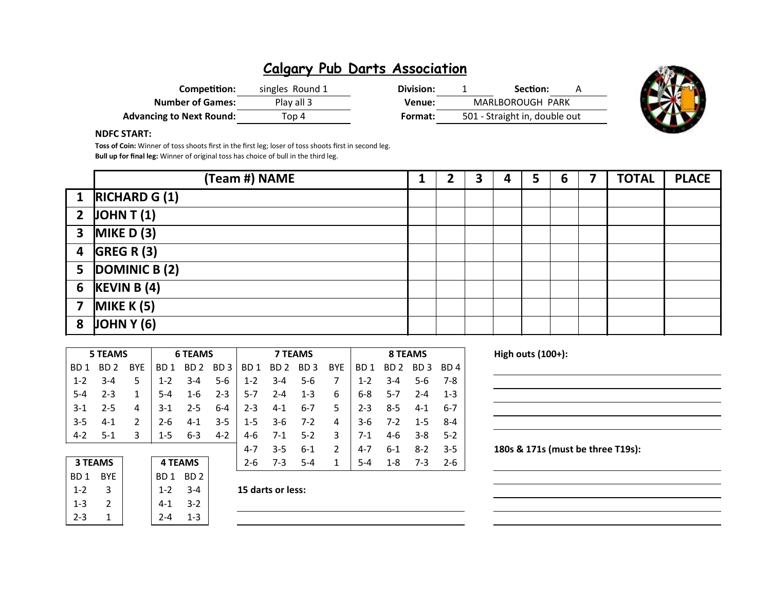| Competition:             | singles Round 1 | Division: | Section:                      | А |
|--------------------------|-----------------|-----------|-------------------------------|---|
| <b>Number of Games:</b>  | Play all 3      | Venue:    | MARLBOROUGH PARK              |   |
| Advancing to Next Round: | Top 4           | Format:   | 501 - Straight in, double out |   |



#### NDFC START:

Toss of Coin: Winner of toss shoots first in the first leg; loser of toss shoots first in second leg. Bull up for final leg: Winner of original toss has choice of bull in the third leg.

|                | (Team #) NAME        |  | 3 | 4 | 5 | $\mathbf b$ | <b>TOTAL</b> | <b>PLACE</b> |
|----------------|----------------------|--|---|---|---|-------------|--------------|--------------|
|                | 1 $RICHARD G (1)$    |  |   |   |   |             |              |              |
|                | 2 $\vert$ JOHN T (1) |  |   |   |   |             |              |              |
|                | 3 MIKE D $(3)$       |  |   |   |   |             |              |              |
|                | 4 $GREG R (3)$       |  |   |   |   |             |              |              |
|                | 5 $ DOMINICB(2) $    |  |   |   |   |             |              |              |
|                | 6 $KEVIN B(4)$       |  |   |   |   |             |              |              |
| $\overline{7}$ | MIKE $K(5)$          |  |   |   |   |             |              |              |
| 8              | JOMN Y (6)           |  |   |   |   |             |              |              |

|         | <b>5 TEAMS</b> |               |         | <b>6 TEAMS</b>  |         |                 |         | <b>7 TEAMS</b> |                            |                    | 8 TEAMS          |         |         |  |
|---------|----------------|---------------|---------|-----------------|---------|-----------------|---------|----------------|----------------------------|--------------------|------------------|---------|---------|--|
| BD 1    | BD 2           | <b>BYE</b>    | BD 1    | BD <sub>2</sub> | BD 3    | BD <sub>1</sub> | BD 2    | BD 3           | <b>BYE</b><br>BD 2<br>BD 1 |                    | BD 3             | BD 4    |         |  |
| $1 - 2$ | $3 - 4$        | 5             | $1 - 2$ | $3 - 4$         | $5-6$   | $1-2$           | $3 - 4$ | $5 - 6$        | 7                          | $1 - 2$            | $3 - 4$          | 5-6     | 7-8     |  |
| $5-4$   | $2 - 3$        | 1             | $5 - 4$ | $1 - 6$         | $2 - 3$ | $5-7$           | $2 - 4$ | $1 - 3$        | 6                          | 6-8                | $5-7$<br>$2 - 4$ |         | $1 - 3$ |  |
| $3-1$   | $2 - 5$        | 4             | $3-1$   | $2 - 5$         | $6 - 4$ | $2 - 3$         | $4 - 1$ | $6 - 7$        | 5.                         | $2 - 3$<br>$8 - 5$ |                  | 4-1     | -6-7    |  |
| $3-5$   | $4 - 1$        | $\mathcal{P}$ | $2 - 6$ | $4 - 1$         | $3 - 5$ | $1-5$           | $3-6$   | $7 - 2$        | 4                          | $3-6$<br>$7-2$     |                  | $1 - 5$ | $8 - 4$ |  |
| $4-2$   | $5-1$          | 3             | $1 - 5$ | $6 - 3$         | $4 - 2$ | 4-6             | $7-1$   | $5-2$          | 3                          | $7-1$              | 4-6              | $3 - 8$ | $5-2$   |  |
|         |                |               |         |                 |         | $4 - 7$         | $3 - 5$ | $6-1$          | $\mathcal{P}$              | $4 - 7$            | $6 - 1$          | $8-2$   | $3-5$   |  |
|         | <b>3 TEAMS</b> |               |         | <b>4 TEAMS</b>  |         | $2 - 6$         | $7-3$   | $5 - 4$        | 1                          | $5 - 4$            | $1 - 8$          | $7-3$   | $2-6$   |  |

| <b>3 TEAMS</b> |     |
|----------------|-----|
| BD 1           | BYF |
| 1-2            | 3   |
| 1-3            | 2   |
| 2-3            |     |

BD 1 BD 2 1-3 2 4-1 3-2

 $2 - 4$  1-3

### $1-2$  3-4 15 darts or less:

# High outs  $(100+)$ : 180s & 171s (must be three T19s):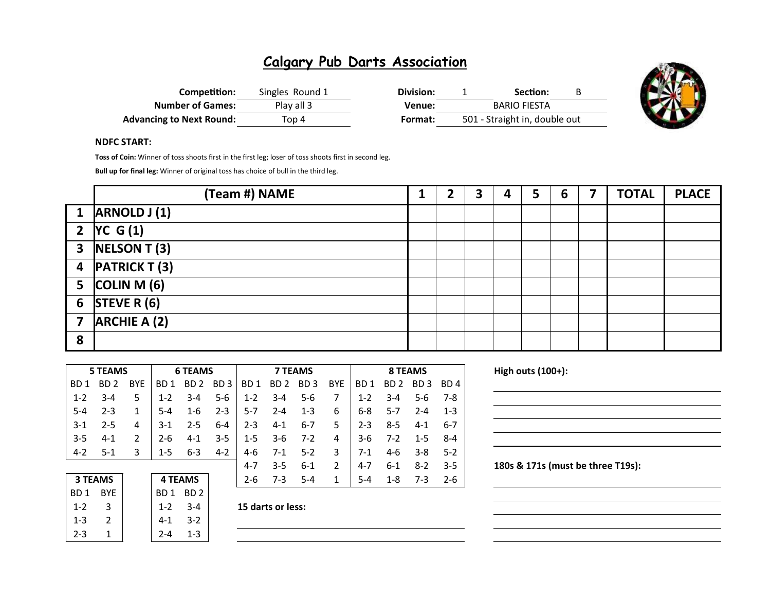| Competition:                    | Singles Round 1 | Division: | Section:                      |  |
|---------------------------------|-----------------|-----------|-------------------------------|--|
| <b>Number of Games:</b>         | Play all 3      | Venue:    | <b>BARIO FIESTA</b>           |  |
| <b>Advancing to Next Round:</b> | Top 4           | Format:   | 501 - Straight in, double out |  |



#### NDFC START:

Toss of Coin: Winner of toss shoots first in the first leg; loser of toss shoots first in second leg.

Bull up for final leg: Winner of original toss has choice of bull in the third leg.

|   | (Team #) NAME                 |  | 3 | 4 | 5 | 6 | 7 | <b>TOTAL</b> | <b>PLACE</b> |
|---|-------------------------------|--|---|---|---|---|---|--------------|--------------|
|   | 1 $ARNOLD J(1)$               |  |   |   |   |   |   |              |              |
|   | 2 $ {VC G (1)} $              |  |   |   |   |   |   |              |              |
|   | $\overline{3}$ NELSON T (3)   |  |   |   |   |   |   |              |              |
|   | 4 PATRICK T (3)               |  |   |   |   |   |   |              |              |
|   | 5 $\vert$ COLIN M $\vert$ (6) |  |   |   |   |   |   |              |              |
|   | 6 STEVE R $(6)$               |  |   |   |   |   |   |              |              |
|   | 7 $ARCHIE A (2)$              |  |   |   |   |   |   |              |              |
| 8 |                               |  |   |   |   |   |   |              |              |

|         | <b>5 TEAMS</b>  |               |         | <b>6 TEAMS</b>  |         |                 |                 | <b>7 TEAMS</b>  |               |                 | 8 TEAMS         |                 |         |  |
|---------|-----------------|---------------|---------|-----------------|---------|-----------------|-----------------|-----------------|---------------|-----------------|-----------------|-----------------|---------|--|
| BD 1    | BD <sub>2</sub> | <b>BYE</b>    | BD 1    | BD <sub>2</sub> | BD 3    | BD <sub>1</sub> | BD <sub>2</sub> | BD <sub>3</sub> | <b>BYE</b>    | BD <sub>1</sub> | BD <sub>2</sub> | BD <sub>3</sub> | BD 4    |  |
| $1-2$   | $3 - 4$         | 5             | $1 - 2$ | $3 - 4$         | $5-6$   | $1 - 2$         | $3 - 4$         | $5 - 6$         | 7             | $1 - 2$         | $3 - 4$         | 5-6             | 7-8     |  |
| $5 - 4$ | $2 - 3$         | 1             | $5 - 4$ | $1 - 6$         | $2 - 3$ | $5 - 7$         | $2 - 4$         | $1 - 3$         | 6             | $6 - 8$         | $5 - 7$         | $2 - 4$         | $1 - 3$ |  |
| $3-1$   | $2 - 5$         | 4             | $3-1$   | $2 - 5$         | $6 - 4$ | $2 - 3$         | $4 - 1$         | $6 - 7$         | 5             | $2 - 3$         | $8 - 5$         | $4-1$           | $6 - 7$ |  |
| $3-5$   | $4 - 1$         | $\mathfrak z$ | $2 - 6$ | $4 - 1$         | $3 - 5$ | $1 - 5$         | $3-6$           | $7-2$           | 4             | $3-6$           | $7-2$           | $1 - 5$         | $8 - 4$ |  |
| $4 - 2$ | $5-1$           | 3             | $1 - 5$ | $6 - 3$         | $4 - 2$ | 4-6             | $7-1$           | $5-2$           | 3             | $7-1$           | 4-6             | $3 - 8$         | $5-2$   |  |
|         |                 |               |         |                 |         | $4 - 7$         | $3 - 5$         | $6-1$           | $\mathcal{P}$ | $4 - 7$         | $6 - 1$         | $8-2$           | $3 - 5$ |  |
|         | <b>3 TEAMS</b>  |               |         | <b>4 TEAMS</b>  |         | $2 - 6$         | $7-3$           | $5 - 4$         | 1             | $5 - 4$         | $1 - 8$         | $7-3$           | $2 - 6$ |  |

| 5<br>2-6<br>7-3   | <b>4 TEAMS</b>  |         |            | <b>3 TEAMS</b> |
|-------------------|-----------------|---------|------------|----------------|
|                   | BD <sub>2</sub> | BD 1    | <b>BYF</b> | BD 1           |
| 15 darts or less: | $3 - 4$         | $1 - 2$ |            | $1 - 2$        |
|                   | $3-2$           | $4-1$   |            | $1 - 3$        |
|                   | 1-3             | 7-A     |            | ว-ว            |
|                   |                 |         |            |                |

| 15 darts or les |
|-----------------|
|-----------------|

High outs  $(100+)$ :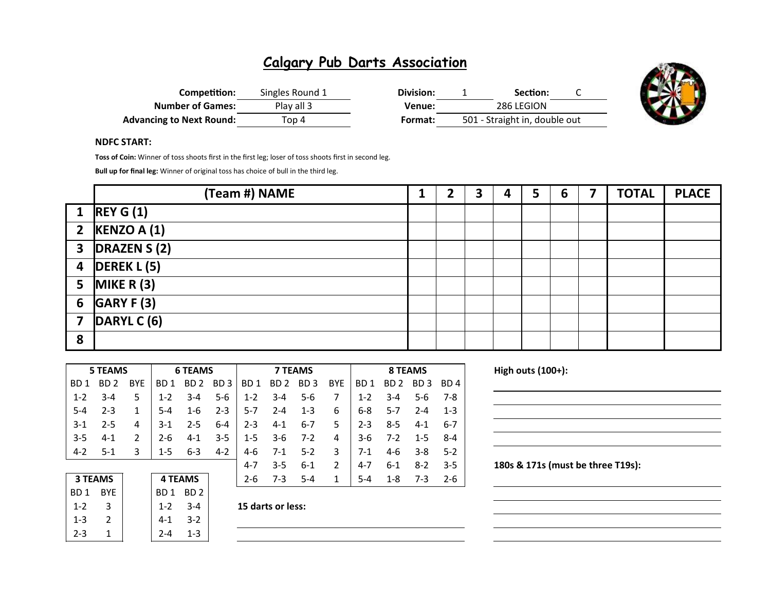| Competition:                    | Singles Round 1 | Division: | Section:                      |  |
|---------------------------------|-----------------|-----------|-------------------------------|--|
| <b>Number of Games:</b>         | Play all 3      | Venue:    | 286 LEGION                    |  |
| <b>Advancing to Next Round:</b> | Top 4           | Format:   | 501 - Straight in, double out |  |



#### NDFC START:

Toss of Coin: Winner of toss shoots first in the first leg; loser of toss shoots first in second leg.

Bull up for final leg: Winner of original toss has choice of bull in the third leg.

|   | (Team #) NAME                 |  | 3 | 4 | 5 | 6 | 7 | <b>TOTAL</b> | <b>PLACE</b> |
|---|-------------------------------|--|---|---|---|---|---|--------------|--------------|
|   | 1 REY G(1)                    |  |   |   |   |   |   |              |              |
|   | 2 KENZO A $(1)$               |  |   |   |   |   |   |              |              |
|   | $\overline{3}$ DRAZEN S (2)   |  |   |   |   |   |   |              |              |
|   | 4 $\vert$ DEREK L (5)         |  |   |   |   |   |   |              |              |
|   | 5 MIKE R $(3)$                |  |   |   |   |   |   |              |              |
|   | 6 $GARY F (3)$                |  |   |   |   |   |   |              |              |
|   | 7 $\vert$ DARYL C $\vert$ (6) |  |   |   |   |   |   |              |              |
| 8 |                               |  |   |   |   |   |   |              |              |

| 5 TEAMS<br><b>6 TEAMS</b> |         |               |         |                 |                 |                 | <b>7 TEAMS</b>  |                 |               |                 | 8 TEAMS         |                 |         |  |  |
|---------------------------|---------|---------------|---------|-----------------|-----------------|-----------------|-----------------|-----------------|---------------|-----------------|-----------------|-----------------|---------|--|--|
| BD 1                      | BD 2    | <b>BYE</b>    | BD 1    | BD <sub>2</sub> | BD <sub>3</sub> | BD <sub>1</sub> | BD <sub>2</sub> | BD <sub>3</sub> | <b>BYE</b>    | BD <sub>1</sub> | BD <sub>2</sub> | BD <sub>3</sub> | BD 4    |  |  |
| $1 - 2$                   | $3 - 4$ | 5             | $1 - 2$ | $3 - 4$         | $5-6$           | $1 - 2$         | $3 - 4$         | $5 - 6$         | 7             | $1 - 2$         | $3 - 4$         | 5-6             | 7-8     |  |  |
| $5-4$                     | $2 - 3$ | 1             | $5 - 4$ | $1 - 6$         | $2 - 3$         | $5-7$           | $2 - 4$         | $1 - 3$         | 6             | $6 - 8$         | $5 - 7$         | $2 - 4$         | $1 - 3$ |  |  |
| $3-1$                     | $2 - 5$ | 4             | $3-1$   | $2 - 5$         | 6-4             | $2 - 3$         | $4 - 1$         | 6-7             | 5             | $2 - 3$         | $8 - 5$         | $4-1$           | 6-7     |  |  |
| $3-5$                     | $4 - 1$ | $\mathfrak z$ | $2 - 6$ | $4-1$           | $3 - 5$         | $1 - 5$         | $3-6$           | $7 - 2$         | 4             | $3-6$           | $7-2$           | $1 - 5$         | $8 - 4$ |  |  |
| $4-2$                     | 5-1     | 3             | $1 - 5$ | $6 - 3$         | $4 - 2$         | 4-6             | $7-1$           | $5-2$           | 3             | $7-1$           | 4-6             | $3 - 8$         | $5-2$   |  |  |
|                           |         |               |         |                 |                 | 4-7             | $3 - 5$         | $6 - 1$         | $\mathcal{P}$ | $4 - 7$         | $6 - 1$         | $8-2$           | $3-5$   |  |  |
| <b>3 TEAMS</b>            |         |               |         | <b>4 TEAMS</b>  |                 | $2 - 6$         | $7-3$           | $5 - 4$         | 1             | $5 - 4$         | $1 - 8$         | $7-3$           | $2-6$   |  |  |

| <b>3 TEAMS</b>  |               | <b>4 TEAMS</b> |         |
|-----------------|---------------|----------------|---------|
| BD <sub>1</sub> | <b>BYE</b>    | BD1 BD2        |         |
| $1 - 2$         | 3             | $1 - 2$        | $3 - 4$ |
| $1 - 3$         | $\mathcal{P}$ | 4-1            | $3-2$   |
| $2 - 3$         |               | $2 - 4$        | $1 - 3$ |
|                 |               |                |         |

 $3-4$  15 darts or less:

High outs  $(100+)$ :

| the contract of the contract of the contract of the contract of the contract of                                       |  |  |
|-----------------------------------------------------------------------------------------------------------------------|--|--|
| <u> 1989 - Johann Stoff, deutscher Stoff, der Stoff, der Stoff, der Stoff, der Stoff, der Stoff, der Stoff, der S</u> |  |  |
|                                                                                                                       |  |  |
|                                                                                                                       |  |  |
|                                                                                                                       |  |  |
|                                                                                                                       |  |  |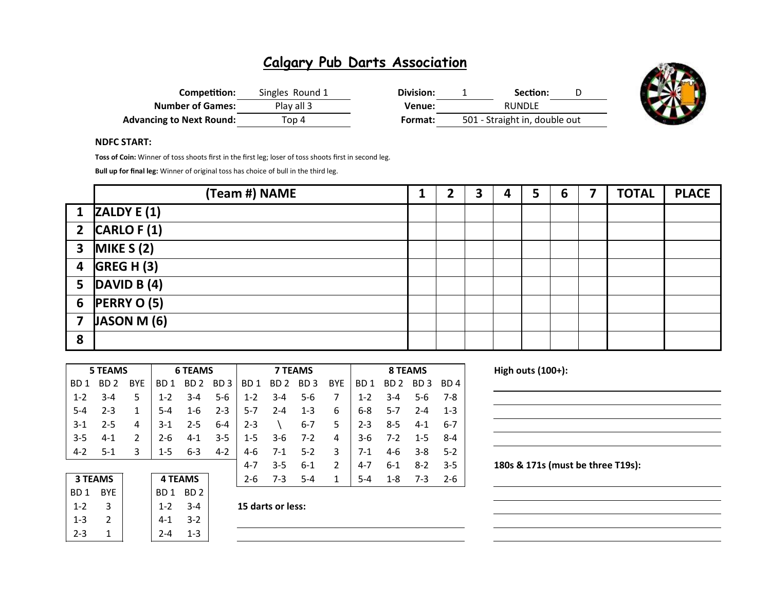| Competition:                    | Singles Round 1 | Division: | Section:                      |  |
|---------------------------------|-----------------|-----------|-------------------------------|--|
| <b>Number of Games:</b>         | Play all 3      | Venue:    | <b>RUNDLE</b>                 |  |
| <b>Advancing to Next Round:</b> | Top 4           | Format:   | 501 - Straight in, double out |  |



#### NDFC START:

Toss of Coin: Winner of toss shoots first in the first leg; loser of toss shoots first in second leg.

Bull up for final leg: Winner of original toss has choice of bull in the third leg.

|   | (Team #) NAME                |  | כ<br>Э | 4 | 5 | 6 | <b>TOTAL</b> | <b>PLACE</b> |
|---|------------------------------|--|--------|---|---|---|--------------|--------------|
|   | $1$ ZALDY E (1)              |  |        |   |   |   |              |              |
|   | 2 $CARLO F(1)$               |  |        |   |   |   |              |              |
|   | 3 MIKE $S(2)$                |  |        |   |   |   |              |              |
|   | $4$ GREG H (3)               |  |        |   |   |   |              |              |
|   | 5 $\vert$ DAVID B $\vert$ 4) |  |        |   |   |   |              |              |
|   | 6 $PERRYO(5)$                |  |        |   |   |   |              |              |
|   | 7 $ JASON M(6) $             |  |        |   |   |   |              |              |
| 8 |                              |  |        |   |   |   |              |              |

|                                  | <b>5 TEAMS</b> |               |         | <b>6 TEAMS</b>  |                 | <b>7 TEAMS</b>  |                 |                 |               | <b>8 TEAMS</b>  |                 |                 |                 |  |  |
|----------------------------------|----------------|---------------|---------|-----------------|-----------------|-----------------|-----------------|-----------------|---------------|-----------------|-----------------|-----------------|-----------------|--|--|
| BD 1                             | BD 2           | <b>BYF</b>    | BD 1    | BD <sub>2</sub> | BD <sub>3</sub> | BD <sub>1</sub> | BD <sub>2</sub> | BD <sub>3</sub> | <b>BYE</b>    | BD <sub>1</sub> | BD <sub>2</sub> | BD <sub>3</sub> | BD <sub>4</sub> |  |  |
| $1 - 2$                          | $3-4$          | 5             | $1 - 2$ | $3-4$           | $5-6$           | $1 - 2$         | $3 - 4$         | $5-6$           | 7             | $1 - 2$         | $3 - 4$         | $5-6$           | 7-8             |  |  |
| $5-4$                            | $2 - 3$        | 1             | 5-4     | $1 - 6$         | $2 - 3$         | $5-7$           | $2 - 4$         | $1 - 3$         | 6             | $6 - 8$         | $5-7$           | $2 - 4$         | $1 - 3$         |  |  |
| $3-1$                            | $2 - 5$        | 4             | $3-1$   | $2 - 5$         | $6 - 4$         | $2 - 3$         |                 | $6 - 7$         | 5.            | $2 - 3$         | $8 - 5$         | $4-1$           | $6 - 7$         |  |  |
| $3 - 5$                          | $4 - 1$        | $\mathfrak z$ | $2 - 6$ | $4-1$           | $3 - 5$         | $1 - 5$         | $3-6$           | $7-2$           | 4             | $3-6$           | $7-2$           | $1 - 5$         | $8 - 4$         |  |  |
| $4 - 2$                          | $5-1$          | 3             | $1 - 5$ | $6 - 3$         | $4 - 2$         | $4-6$           | $7-1$           | $5-2$           | 3             | $7-1$           | 4-6             | $3 - 8$         | $5-2$           |  |  |
|                                  |                |               |         |                 |                 | 4-7             | $3 - 5$         | $6-1$           | $\mathcal{P}$ | $4 - 7$         | $6 - 1$         | $8-2$           | $3-5$           |  |  |
| <b>3 TEAMS</b><br><b>4 TEAMS</b> |                | $2 - 6$       | $7-3$   | $5 - 4$         |                 | $5 - 4$         | $1 - 8$         | $7-3$           | $2 - 6$       |                 |                 |                 |                 |  |  |

| 5<br>$7-3$<br>2-6 | <b>4 TEAMS</b> |                 |            | <b>3 TEAMS</b> |  |
|-------------------|----------------|-----------------|------------|----------------|--|
|                   | BD 2           | BD <sub>1</sub> | <b>RYF</b> | BD 1           |  |
| 15 darts or less: | $3 - 4$        | $1 - 2$         |            | $1 - 2$        |  |
|                   | $3-2$          | 4-1             |            | $1 - 3$        |  |
|                   | 1-3            |                 |            | 2-3            |  |
|                   |                |                 |            |                |  |

| 15 darts or les |
|-----------------|
|                 |

High outs  $(100+)$ :

|                                                                                                                       | <u> 1989 - Jan James James Barnett, fransk politik (d. 1989)</u>                                                       |  |  |
|-----------------------------------------------------------------------------------------------------------------------|------------------------------------------------------------------------------------------------------------------------|--|--|
| <u> 1989 - Johann Stoff, deutscher Stoff, der Stoff, der Stoff, der Stoff, der Stoff, der Stoff, der Stoff, der S</u> |                                                                                                                        |  |  |
|                                                                                                                       | <u> 1989 - Johann Stoff, deutscher Stoffen und der Stoffen und der Stoffen und der Stoffen und der Stoffen und der</u> |  |  |
|                                                                                                                       | <u> 1989 - Johann Stoff, deutscher Stoffen und der Stoffen und der Stoffen und der Stoffen und der Stoffen und de</u>  |  |  |
|                                                                                                                       | <u> 1989 - Johann Stoff, deutscher Stoff, der Stoff, der Stoff, der Stoff, der Stoff, der Stoff, der Stoff, der S</u>  |  |  |
|                                                                                                                       |                                                                                                                        |  |  |